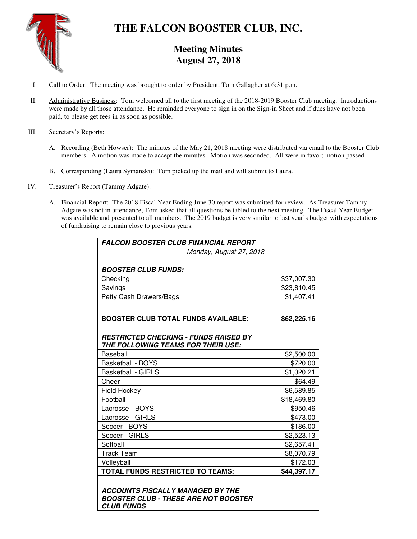

# **THE FALCON BOOSTER CLUB, INC.**

# **Meeting Minutes August 27, 2018**

- I. Call to Order: The meeting was brought to order by President, Tom Gallagher at 6:31 p.m.
- II. Administrative Business: Tom welcomed all to the first meeting of the 2018-2019 Booster Club meeting. Introductions were made by all those attendance. He reminded everyone to sign in on the Sign-in Sheet and if dues have not been paid, to please get fees in as soon as possible.

## III. Secretary's Reports:

- A. Recording (Beth Howser): The minutes of the May 21, 2018 meeting were distributed via email to the Booster Club members. A motion was made to accept the minutes. Motion was seconded. All were in favor; motion passed.
- B. Corresponding (Laura Symanski): Tom picked up the mail and will submit to Laura.
- IV. Treasurer's Report (Tammy Adgate):
	- A. Financial Report: The 2018 Fiscal Year Ending June 30 report was submitted for review. As Treasurer Tammy Adgate was not in attendance, Tom asked that all questions be tabled to the next meeting. The Fiscal Year Budget was available and presented to all members. The 2019 budget is very similar to last year's budget with expectations of fundraising to remain close to previous years.

| <b>FALCON BOOSTER CLUB FINANCIAL REPORT</b>  |             |
|----------------------------------------------|-------------|
| Monday, August 27, 2018                      |             |
|                                              |             |
| <b>BOOSTER CLUB FUNDS:</b>                   |             |
| Checking                                     | \$37,007.30 |
| Savings                                      | \$23,810.45 |
| Petty Cash Drawers/Bags                      | \$1,407.41  |
|                                              |             |
| <b>BOOSTER CLUB TOTAL FUNDS AVAILABLE:</b>   | \$62,225.16 |
|                                              |             |
| <b>RESTRICTED CHECKING - FUNDS RAISED BY</b> |             |
| THE FOLLOWING TEAMS FOR THEIR USE:           |             |
| Baseball                                     | \$2,500.00  |
| <b>Basketball - BOYS</b>                     | \$720.00    |
| <b>Basketball - GIRLS</b>                    | \$1,020.21  |
| Cheer                                        | \$64.49     |
| Field Hockey                                 | \$6,589.85  |
| Football                                     | \$18,469.80 |
| Lacrosse - BOYS                              | \$950.46    |
| Lacrosse - GIRLS                             | \$473.00    |
| Soccer - BOYS                                | \$186.00    |
| Soccer - GIRLS                               | \$2,523.13  |
| Softball                                     | \$2,657.41  |
| <b>Track Team</b>                            | \$8,070.79  |
| Volleyball                                   | \$172.03    |
| <b>TOTAL FUNDS RESTRICTED TO TEAMS:</b>      | \$44,397.17 |
|                                              |             |
| <b>ACCOUNTS FISCALLY MANAGED BY THE</b>      |             |
| <b>BOOSTER CLUB - THESE ARE NOT BOOSTER</b>  |             |
| <b>CLUB FUNDS</b>                            |             |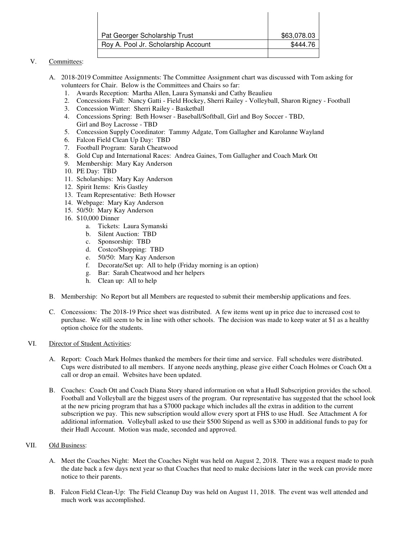| Pat Georger Scholarship Trust       | \$63,078.03 |
|-------------------------------------|-------------|
| Roy A. Pool Jr. Scholarship Account | \$444.76    |
|                                     |             |

## V. Committees:

- A. 2018-2019 Committee Assignments: The Committee Assignment chart was discussed with Tom asking for volunteers for Chair. Below is the Committees and Chairs so far:
	- 1. Awards Reception: Martha Allen, Laura Symanski and Cathy Beaulieu
	- 2. Concessions Fall: Nancy Gatti Field Hockey, Sherri Railey Volleyball, Sharon Rigney Football
	- 3. Concession Winter: Sherri Railey Basketball
	- 4. Concessions Spring: Beth Howser Baseball/Softball, Girl and Boy Soccer TBD, Girl and Boy Lacrosse - TBD
	- 5. Concession Supply Coordinator: Tammy Adgate, Tom Gallagher and Karolanne Wayland
	- 6. Falcon Field Clean Up Day: TBD
	- 7. Football Program: Sarah Cheatwood
	- 8. Gold Cup and International Races: Andrea Gaines, Tom Gallagher and Coach Mark Ott
	- 9. Membership: Mary Kay Anderson
	- 10. PE Day: TBD
	- 11. Scholarships: Mary Kay Anderson
	- 12. Spirit Items: Kris Gastley
	- 13. Team Representative: Beth Howser
	- 14. Webpage: Mary Kay Anderson
	- 15. 50/50: Mary Kay Anderson
	- 16. \$10,000 Dinner
		- a. Tickets: Laura Symanski
		- b. Silent Auction: TBD
		- c. Sponsorship: TBD
		- d. Costco/Shopping: TBD
		- e. 50/50: Mary Kay Anderson
		- f. Decorate/Set up: All to help (Friday morning is an option)
		- g. Bar: Sarah Cheatwood and her helpers
		- h. Clean up: All to help
- B. Membership: No Report but all Members are requested to submit their membership applications and fees.
- C. Concessions: The 2018-19 Price sheet was distributed. A few items went up in price due to increased cost to purchase. We still seem to be in line with other schools. The decision was made to keep water at \$1 as a healthy option choice for the students.

#### VI. Director of Student Activities:

- A. Report: Coach Mark Holmes thanked the members for their time and service. Fall schedules were distributed. Cups were distributed to all members. If anyone needs anything, please give either Coach Holmes or Coach Ott a call or drop an email. Websites have been updated.
- B. Coaches: Coach Ott and Coach Diana Story shared information on what a Hudl Subscription provides the school. Football and Volleyball are the biggest users of the program. Our representative has suggested that the school look at the new pricing program that has a \$7000 package which includes all the extras in addition to the current subscription we pay. This new subscription would allow every sport at FHS to use Hudl. See Attachment A for additional information. Volleyball asked to use their \$500 Stipend as well as \$300 in additional funds to pay for their Hudl Account. Motion was made, seconded and approved.

#### VII. Old Business:

- A. Meet the Coaches Night: Meet the Coaches Night was held on August 2, 2018. There was a request made to push the date back a few days next year so that Coaches that need to make decisions later in the week can provide more notice to their parents.
- B. Falcon Field Clean-Up: The Field Cleanup Day was held on August 11, 2018. The event was well attended and much work was accomplished.